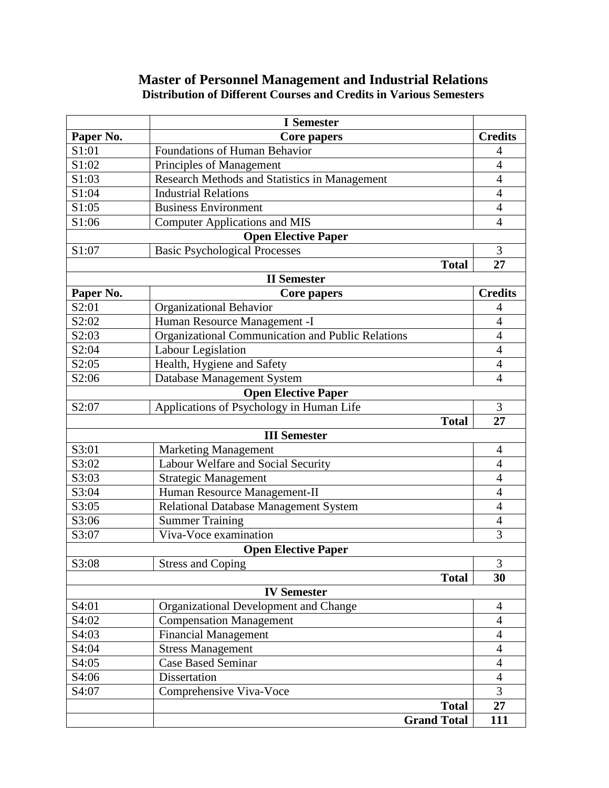# **Master of Personnel Management and Industrial Relations Distribution of Different Courses and Credits in Various Semesters**

|                            | <b>I</b> Semester                                 |                |  |  |
|----------------------------|---------------------------------------------------|----------------|--|--|
| Paper No.                  | Core papers                                       | <b>Credits</b> |  |  |
| S1:01                      | <b>Foundations of Human Behavior</b>              | 4              |  |  |
| S1:02                      | Principles of Management                          | $\overline{4}$ |  |  |
| S1:03                      | Research Methods and Statistics in Management     | $\overline{4}$ |  |  |
| S1:04                      | <b>Industrial Relations</b>                       | $\overline{4}$ |  |  |
| S1:05                      | <b>Business Environment</b>                       | $\overline{4}$ |  |  |
| S1:06                      | <b>Computer Applications and MIS</b>              | $\overline{4}$ |  |  |
|                            | <b>Open Elective Paper</b>                        |                |  |  |
| S1:07                      | <b>Basic Psychological Processes</b>              | 3              |  |  |
|                            | <b>Total</b>                                      | 27             |  |  |
|                            | <b>II</b> Semester                                |                |  |  |
| Paper No.                  | <b>Core papers</b>                                | <b>Credits</b> |  |  |
| S2:01                      | Organizational Behavior                           | $\overline{4}$ |  |  |
| S2:02                      | Human Resource Management -I                      | $\overline{4}$ |  |  |
| S2:03                      | Organizational Communication and Public Relations | $\overline{4}$ |  |  |
| S2:04                      | Labour Legislation                                | $\overline{4}$ |  |  |
| S2:05                      | Health, Hygiene and Safety                        | 4              |  |  |
| S2:06                      | Database Management System                        | $\overline{4}$ |  |  |
|                            | <b>Open Elective Paper</b>                        |                |  |  |
| S2:07                      | Applications of Psychology in Human Life          | 3              |  |  |
|                            | <b>Total</b>                                      | 27             |  |  |
|                            | <b>III</b> Semester                               |                |  |  |
| S3:01                      | <b>Marketing Management</b>                       | 4              |  |  |
| S3:02                      | Labour Welfare and Social Security                | $\overline{4}$ |  |  |
| S3:03                      | <b>Strategic Management</b>                       | $\overline{4}$ |  |  |
| S3:04                      | Human Resource Management-II                      | $\overline{4}$ |  |  |
| S3:05                      | Relational Database Management System             | $\overline{4}$ |  |  |
| S3:06                      | <b>Summer Training</b>                            | $\overline{4}$ |  |  |
| S3:07                      | Viva-Voce examination                             | 3              |  |  |
| <b>Open Elective Paper</b> |                                                   |                |  |  |
| S3:08                      | <b>Stress and Coping</b>                          | 3              |  |  |
|                            | <b>Total</b>                                      | 30             |  |  |
| <b>IV Semester</b>         |                                                   |                |  |  |
| S4:01                      | Organizational Development and Change             | 4              |  |  |
| S4:02                      | <b>Compensation Management</b>                    | $\overline{4}$ |  |  |
| S4:03                      | <b>Financial Management</b>                       | $\overline{4}$ |  |  |
| S4:04                      | <b>Stress Management</b>                          | $\overline{4}$ |  |  |
| S4:05                      | <b>Case Based Seminar</b>                         | $\overline{4}$ |  |  |
| S4:06                      | Dissertation                                      | $\overline{4}$ |  |  |
| S4:07                      | Comprehensive Viva-Voce                           | $\overline{3}$ |  |  |
|                            | <b>Total</b>                                      | 27             |  |  |
|                            | <b>Grand Total</b>                                | 111            |  |  |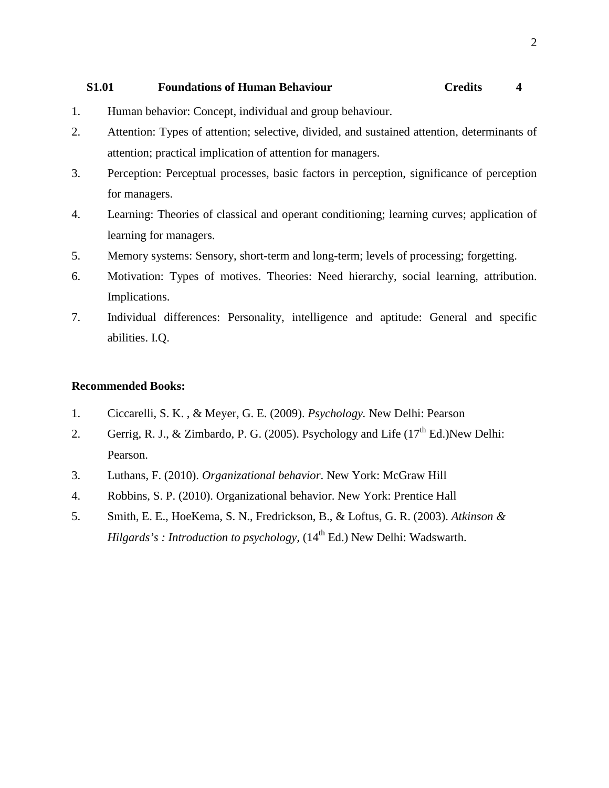# **S1.01 Foundations of Human Behaviour Credits 4**

- 1. Human behavior: Concept, individual and group behaviour.
- 2. Attention: Types of attention; selective, divided, and sustained attention, determinants of attention; practical implication of attention for managers.
- 3. Perception: Perceptual processes, basic factors in perception, significance of perception for managers.
- 4. Learning: Theories of classical and operant conditioning; learning curves; application of learning for managers.
- 5. Memory systems: Sensory, short-term and long-term; levels of processing; forgetting.
- 6. Motivation: Types of motives. Theories: Need hierarchy, social learning, attribution. Implications.
- 7. Individual differences: Personality, intelligence and aptitude: General and specific abilities. I.Q.

- 1. Ciccarelli, S. K. , & Meyer, G. E. (2009). *Psychology.* New Delhi: Pearson
- 2. Gerrig, R. J., & Zimbardo, P. G. (2005). Psychology and Life  $(17<sup>th</sup> Ed.)$ New Delhi: Pearson.
- 3. Luthans, F. (2010). *Organizational behavior*. New York: McGraw Hill
- 4. Robbins, S. P. (2010). Organizational behavior. New York: Prentice Hall
- 5. Smith, E. E., HoeKema, S. N., Fredrickson, B., & Loftus, G. R. (2003). *Atkinson & Hilgards's : Introduction to psychology,* (14<sup>th</sup> Ed.) New Delhi: Wadswarth.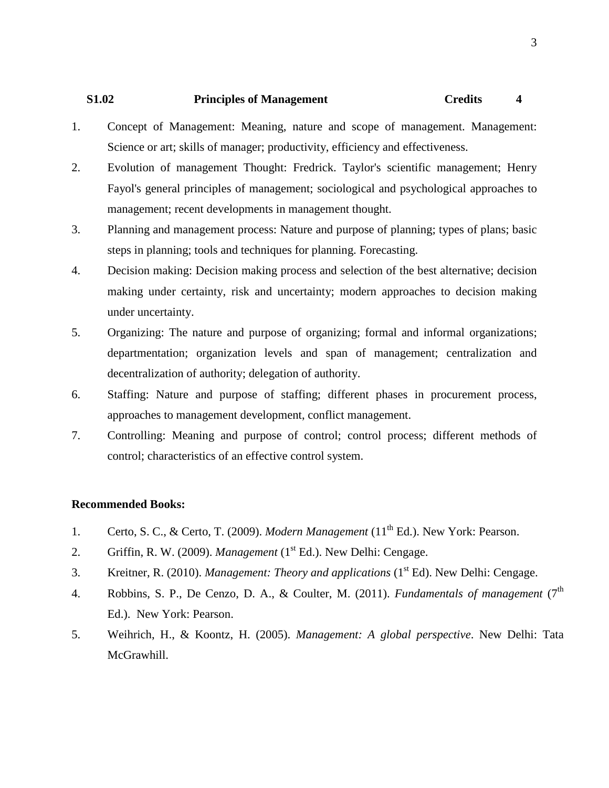# **S1.02 Principles of Management Credits 4**

- 1. Concept of Management: Meaning, nature and scope of management. Management: Science or art; skills of manager; productivity, efficiency and effectiveness.
- 2. Evolution of management Thought: Fredrick. Taylor's scientific management; Henry Fayol's general principles of management; sociological and psychological approaches to management; recent developments in management thought.
- 3. Planning and management process: Nature and purpose of planning; types of plans; basic steps in planning; tools and techniques for planning. Forecasting.
- 4. Decision making: Decision making process and selection of the best alternative; decision making under certainty, risk and uncertainty; modern approaches to decision making under uncertainty.
- 5. Organizing: The nature and purpose of organizing; formal and informal organizations; departmentation; organization levels and span of management; centralization and decentralization of authority; delegation of authority.
- 6. Staffing: Nature and purpose of staffing; different phases in procurement process, approaches to management development, conflict management.
- 7. Controlling: Meaning and purpose of control; control process; different methods of control; characteristics of an effective control system.

- 1. Certo, S. C., & Certo, T. (2009). *Modern Management* (11<sup>th</sup> Ed.). New York: Pearson.
- 2. Griffin, R. W. (2009). *Management* (1<sup>st</sup> Ed.). New Delhi: Cengage.
- 3. Kreitner, R. (2010). *Management: Theory and applications* (1st Ed). New Delhi: Cengage.
- 4. Robbins, S. P., De Cenzo, D. A., & Coulter, M. (2011). *Fundamentals of management* (7<sup>th</sup>) Ed.). New York: Pearson.
- 5. Weihrich, H., & Koontz, H. (2005). *Management: A global perspective*. New Delhi: Tata McGrawhill.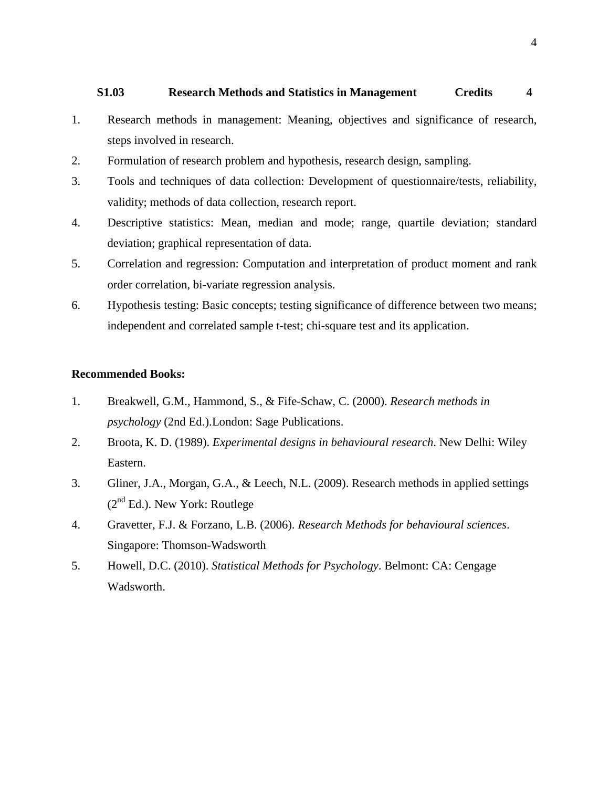## **S1.03 Research Methods and Statistics in Management Credits 4**

- 1. Research methods in management: Meaning, objectives and significance of research, steps involved in research.
- 2. Formulation of research problem and hypothesis, research design, sampling.
- 3. Tools and techniques of data collection: Development of questionnaire/tests, reliability, validity; methods of data collection, research report.
- 4. Descriptive statistics: Mean, median and mode; range, quartile deviation; standard deviation; graphical representation of data.
- 5. Correlation and regression: Computation and interpretation of product moment and rank order correlation, bi-variate regression analysis.
- 6. Hypothesis testing: Basic concepts; testing significance of difference between two means; independent and correlated sample t-test; chi-square test and its application.

- 1. Breakwell, G.M., Hammond, S., & Fife-Schaw, C. (2000). *Research methods in psychology* (2nd Ed.).London: Sage Publications.
- 2. Broota, K. D. (1989). *Experimental designs in behavioural research*. New Delhi: Wiley Eastern.
- 3. Gliner, J.A., Morgan, G.A., & Leech, N.L. (2009). Research methods in applied settings  $(2<sup>nd</sup> Ed.)$ . New York: Routlege
- 4. Gravetter, F.J. & Forzano, L.B. (2006). *Research Methods for behavioural sciences*. Singapore: Thomson-Wadsworth
- 5. Howell, D.C. (2010). *Statistical Methods for Psychology*. Belmont: CA: Cengage Wadsworth.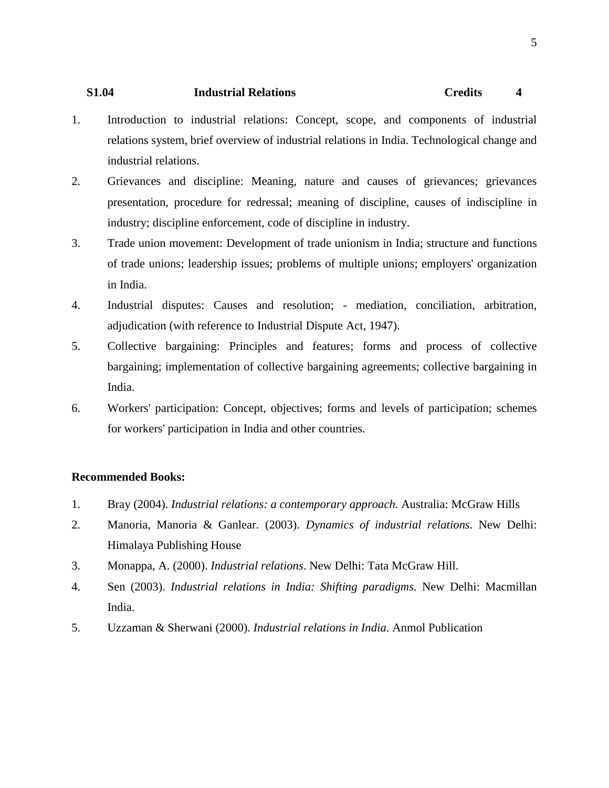# **S1.04 Industrial Relations Credits 4**

- 1. Introduction to industrial relations: Concept, scope, and components of industrial relations system, brief overview of industrial relations in India. Technological change and industrial relations.
- 2. Grievances and discipline: Meaning, nature and causes of grievances; grievances presentation, procedure for redressal; meaning of discipline, causes of indiscipline in industry; discipline enforcement, code of discipline in industry.
- 3. Trade union movement: Development of trade unionism in India; structure and functions of trade unions; leadership issues; problems of multiple unions; employers' organization in India.
- 4. Industrial disputes: Causes and resolution; mediation, conciliation, arbitration, adjudication (with reference to Industrial Dispute Act, 1947).
- 5. Collective bargaining: Principles and features; forms and process of collective bargaining; implementation of collective bargaining agreements; collective bargaining in India.
- 6. Workers' participation: Concept, objectives; forms and levels of participation; schemes for workers' participation in India and other countries.

- 1. Bray (2004). *Industrial relations: a contemporary approach*. Australia: McGraw Hills
- 2. Manoria, Manoria & Ganlear. (2003). *Dynamics of industrial relations*. New Delhi: Himalaya Publishing House
- 3. Monappa, A. (2000). *Industrial relations*. New Delhi: Tata McGraw Hill.
- 4. Sen (2003). *Industrial relations in India: Shifting paradigms*. New Delhi: Macmillan India.
- 5. Uzzaman & Sherwani (2000). *Industrial relations in India*. Anmol Publication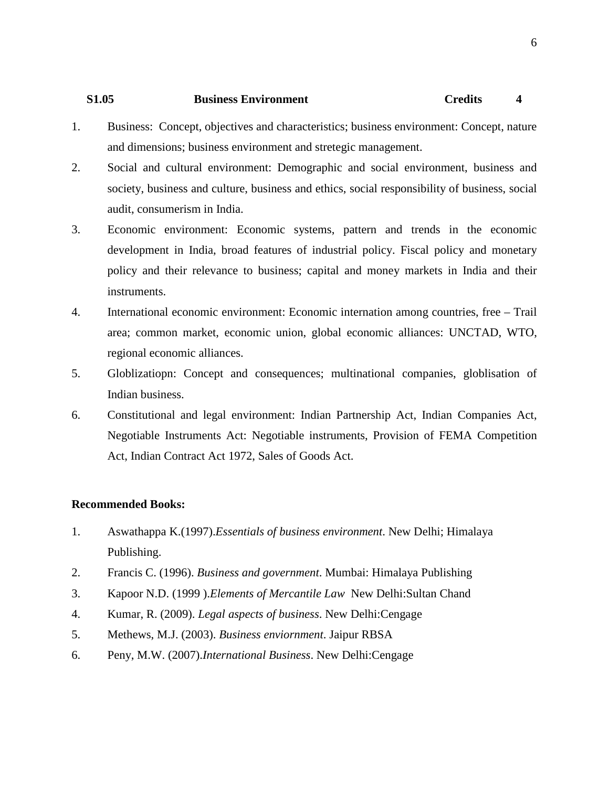# **S1.05 Business Environment Credits 4**

- 1. Business: Concept, objectives and characteristics; business environment: Concept, nature and dimensions; business environment and stretegic management.
- 2. Social and cultural environment: Demographic and social environment, business and society, business and culture, business and ethics, social responsibility of business, social audit, consumerism in India.
- 3. Economic environment: Economic systems, pattern and trends in the economic development in India, broad features of industrial policy. Fiscal policy and monetary policy and their relevance to business; capital and money markets in India and their instruments.
- 4. International economic environment: Economic internation among countries, free Trail area; common market, economic union, global economic alliances: UNCTAD, WTO, regional economic alliances.
- 5. Globlizatiopn: Concept and consequences; multinational companies, globlisation of Indian business.
- 6. Constitutional and legal environment: Indian Partnership Act, Indian Companies Act, Negotiable Instruments Act: Negotiable instruments, Provision of FEMA Competition Act, Indian Contract Act 1972, Sales of Goods Act.

- 1. Aswathappa K.(1997).*Essentials of business environment*. New Delhi; Himalaya Publishing.
- 2. Francis C. (1996). *Business and government*. Mumbai: Himalaya Publishing
- 3. Kapoor N.D. (1999 ).*Elements of Mercantile Law* New Delhi:Sultan Chand
- 4. Kumar, R. (2009). *Legal aspects of business*. New Delhi:Cengage
- 5. Methews, M.J. (2003). *Business enviornment*. Jaipur RBSA
- 6. Peny, M.W. (2007).*International Business*. New Delhi:Cengage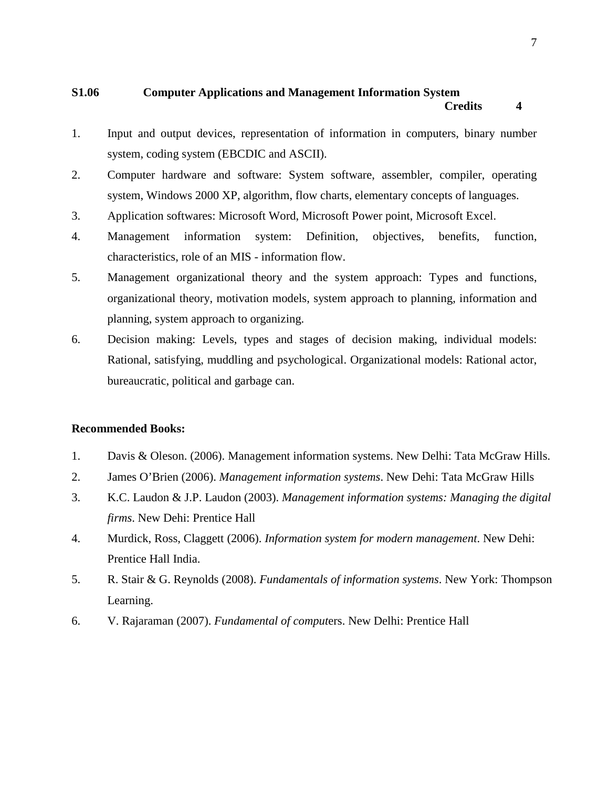# **S1.06 Computer Applications and Management Information System Credits 4**

- 1. Input and output devices, representation of information in computers, binary number system, coding system (EBCDIC and ASCII).
- 2. Computer hardware and software: System software, assembler, compiler, operating system, Windows 2000 XP, algorithm, flow charts, elementary concepts of languages.
- 3. Application softwares: Microsoft Word, Microsoft Power point, Microsoft Excel.
- 4. Management information system: Definition, objectives, benefits, function, characteristics, role of an MIS - information flow.
- 5. Management organizational theory and the system approach: Types and functions, organizational theory, motivation models, system approach to planning, information and planning, system approach to organizing.
- 6. Decision making: Levels, types and stages of decision making, individual models: Rational, satisfying, muddling and psychological. Organizational models: Rational actor, bureaucratic, political and garbage can.

- 1. Davis & Oleson. (2006). Management information systems. New Delhi: Tata McGraw Hills.
- 2. James O'Brien (2006). *Management information systems*. New Dehi: Tata McGraw Hills
- 3. K.C. Laudon & J.P. Laudon (2003). *Management information systems: Managing the digital firms*. New Dehi: Prentice Hall
- 4. Murdick, Ross, Claggett (2006). *Information system for modern management*. New Dehi: Prentice Hall India.
- 5. R. Stair & G. Reynolds (2008). *Fundamentals of information systems*. New York: Thompson Learning.
- 6. V. Rajaraman (2007). *Fundamental of comput*ers. New Delhi: Prentice Hall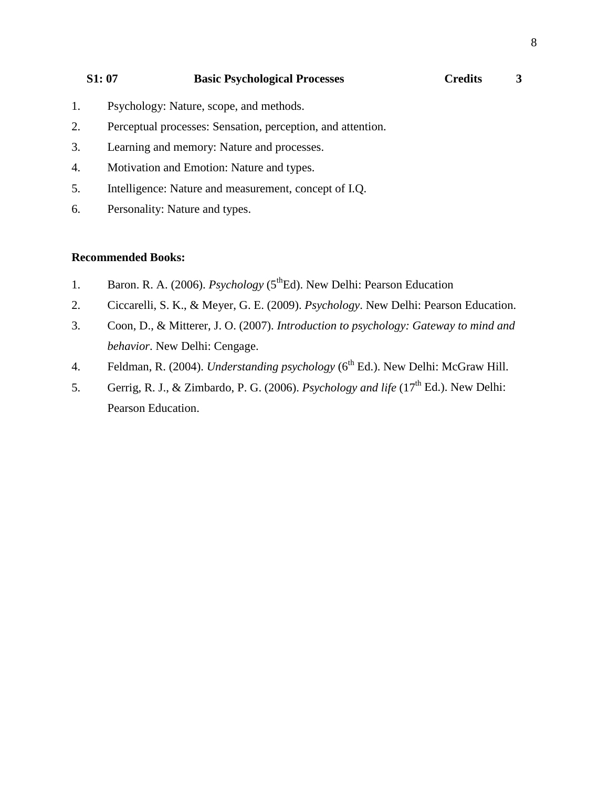**S1: 07 Basic Psychological Processes Credits 3**

- 1. Psychology: Nature, scope, and methods.
- 2. Perceptual processes: Sensation, perception, and attention.
- 3. Learning and memory: Nature and processes.
- 4. Motivation and Emotion: Nature and types.
- 5. Intelligence: Nature and measurement, concept of I.Q.
- 6. Personality: Nature and types.

- 1. Baron. R. A. (2006). *Psychology* (5<sup>th</sup>Ed). New Delhi: Pearson Education
- 2. Ciccarelli, S. K., & Meyer, G. E. (2009). *Psychology*. New Delhi: Pearson Education.
- 3. Coon, D., & Mitterer, J. O. (2007). *Introduction to psychology: Gateway to mind and behavior*. New Delhi: Cengage.
- 4. Feldman, R. (2004). *Understanding psychology* (6<sup>th</sup> Ed.). New Delhi: McGraw Hill.
- 5. Gerrig, R. J., & Zimbardo, P. G. (2006). *Psychology and life* (17th Ed.). New Delhi: Pearson Education.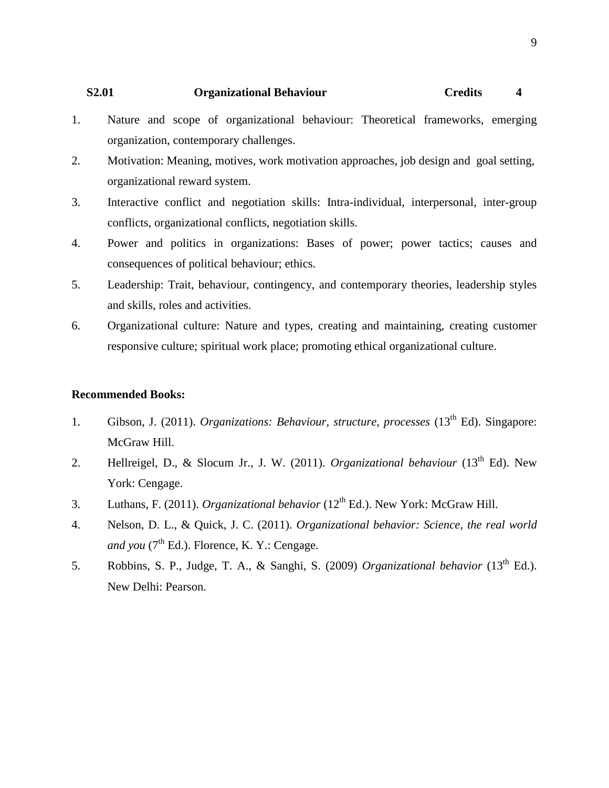## **S2.01 Organizational Behaviour Credits 4**

- 1. Nature and scope of organizational behaviour: Theoretical frameworks, emerging organization, contemporary challenges.
- 2. Motivation: Meaning, motives, work motivation approaches, job design and goal setting, organizational reward system.
- 3. Interactive conflict and negotiation skills: Intra-individual, interpersonal, inter-group conflicts, organizational conflicts, negotiation skills.
- 4. Power and politics in organizations: Bases of power; power tactics; causes and consequences of political behaviour; ethics.
- 5. Leadership: Trait, behaviour, contingency, and contemporary theories, leadership styles and skills, roles and activities.
- 6. Organizational culture: Nature and types, creating and maintaining, creating customer responsive culture; spiritual work place; promoting ethical organizational culture.

- 1. Gibson, J. (2011). *Organizations: Behaviour, structure, processes* (13<sup>th</sup> Ed). Singapore: McGraw Hill.
- 2. Hellreigel, D., & Slocum Jr., J. W. (2011). *Organizational behaviour* (13<sup>th</sup> Ed). New York: Cengage.
- 3. Luthans, F. (2011). *Organizational behavior* (12th Ed.). New York: McGraw Hill.
- 4. Nelson, D. L., & Quick, J. C. (2011). *Organizational behavior: Science, the real world and you* ( $7<sup>th</sup>$  Ed.). Florence, K. Y.: Cengage.
- 5. Robbins, S. P., Judge, T. A., & Sanghi, S. (2009) *Organizational behavior* (13th Ed.). New Delhi: Pearson.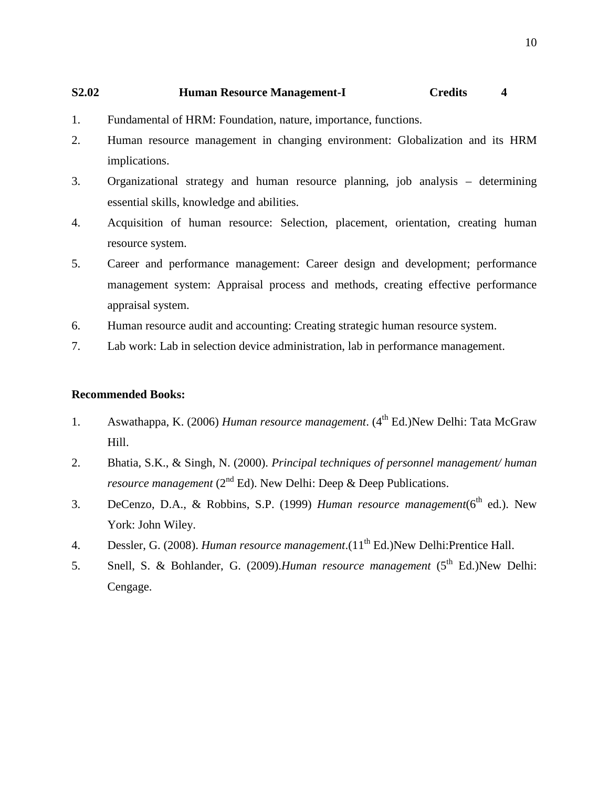## **S2.02 Human Resource Management-I Credits 4**

- 1. Fundamental of HRM: Foundation, nature, importance, functions.
- 2. Human resource management in changing environment: Globalization and its HRM implications.
- 3. Organizational strategy and human resource planning, job analysis determining essential skills, knowledge and abilities.
- 4. Acquisition of human resource: Selection, placement, orientation, creating human resource system.
- 5. Career and performance management: Career design and development; performance management system: Appraisal process and methods, creating effective performance appraisal system.
- 6. Human resource audit and accounting: Creating strategic human resource system.
- 7. Lab work: Lab in selection device administration, lab in performance management.

- 1. Aswathappa, K. (2006) *Human resource management*. (4<sup>th</sup> Ed.)New Delhi: Tata McGraw Hill.
- 2. Bhatia, S.K., & Singh, N. (2000). *Principal techniques of personnel management/ human resource management* ( $2<sup>nd</sup> Ed$ ). New Delhi: Deep & Deep Publications.
- 3. DeCenzo, D.A., & Robbins, S.P. (1999) *Human resource management*(6<sup>th</sup> ed.). New York: John Wiley.
- 4. Dessler, G. (2008). *Human resource management*.(11<sup>th</sup> Ed.)New Delhi: Prentice Hall.
- 5. Snell, S. & Bohlander, G. (2009).*Human resource management* (5<sup>th</sup> Ed.)New Delhi: Cengage.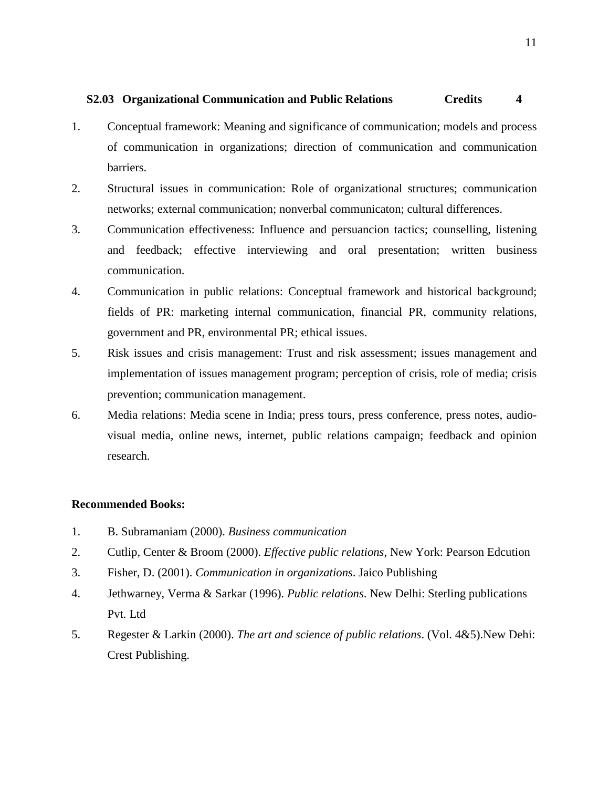# **S2.03 Organizational Communication and Public Relations Credits 4**

- 1. Conceptual framework: Meaning and significance of communication; models and process of communication in organizations; direction of communication and communication barriers.
- 2. Structural issues in communication: Role of organizational structures; communication networks; external communication; nonverbal communicaton; cultural differences.
- 3. Communication effectiveness: Influence and persuancion tactics; counselling, listening and feedback; effective interviewing and oral presentation; written business communication.
- 4. Communication in public relations: Conceptual framework and historical background; fields of PR: marketing internal communication, financial PR, community relations, government and PR, environmental PR; ethical issues.
- 5. Risk issues and crisis management: Trust and risk assessment; issues management and implementation of issues management program; perception of crisis, role of media; crisis prevention; communication management.
- 6. Media relations: Media scene in India; press tours, press conference, press notes, audiovisual media, online news, internet, public relations campaign; feedback and opinion research.

- 1. B. Subramaniam (2000). *Business communication*
- 2. Cutlip, Center & Broom (2000). *Effective public relations*, New York: Pearson Edcution
- 3. Fisher, D. (2001). *Communication in organizations*. Jaico Publishing
- 4. Jethwarney, Verma & Sarkar (1996). *Public relations*. New Delhi: Sterling publications Pvt. Ltd
- 5. Regester & Larkin (2000). *The art and science of public relations*. (Vol. 4&5).New Dehi: Crest Publishing.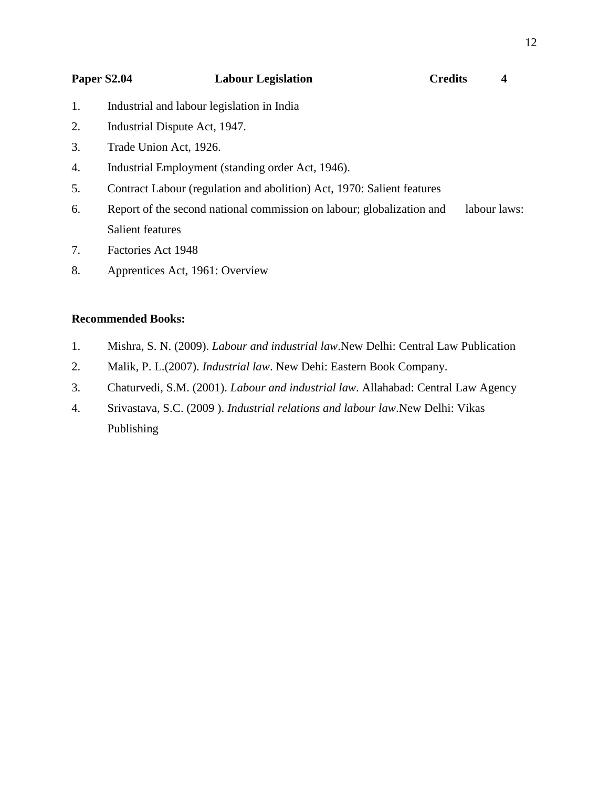| <b>Paper S2.04</b>                         | <b>Labour Legislation</b> | <b>Credits</b> |  |
|--------------------------------------------|---------------------------|----------------|--|
| Industrial and labour legislation in India |                           |                |  |

- 2. Industrial Dispute Act, 1947.
- 3. Trade Union Act, 1926.
- 4. Industrial Employment (standing order Act, 1946).
- 5. Contract Labour (regulation and abolition) Act, 1970: Salient features
- 6. Report of the second national commission on labour; globalization and labour laws: Salient features
- 7. Factories Act 1948
- 8. Apprentices Act, 1961: Overview

- 1. Mishra, S. N. (2009). *Labour and industrial law*.New Delhi: Central Law Publication
- 2. Malik, P. L.(2007). *Industrial law*. New Dehi: Eastern Book Company.
- 3. Chaturvedi, S.M. (2001). *Labour and industrial law*. Allahabad: Central Law Agency
- 4. Srivastava, S.C. (2009 ). *Industrial relations and labour law*.New Delhi: Vikas Publishing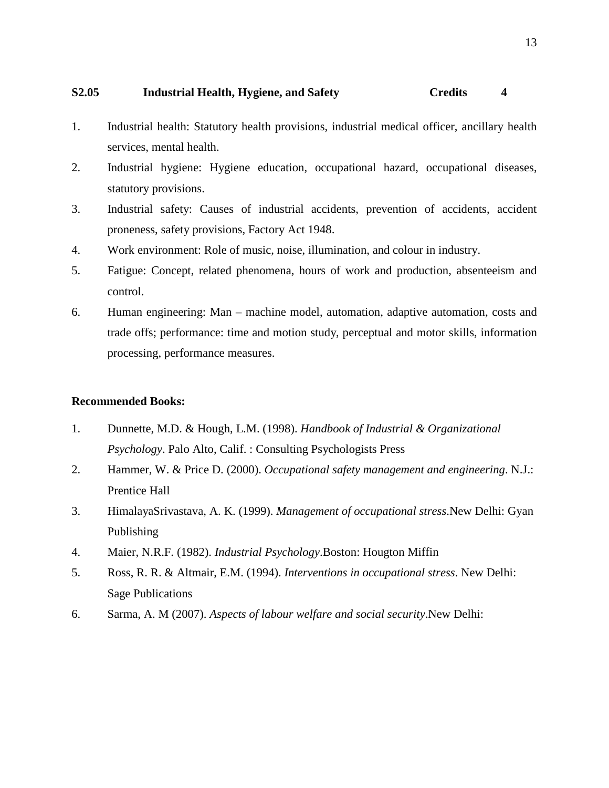## **S2.05 Industrial Health, Hygiene, and Safety Credits 4**

- 1. Industrial health: Statutory health provisions, industrial medical officer, ancillary health services, mental health.
- 2. Industrial hygiene: Hygiene education, occupational hazard, occupational diseases, statutory provisions.
- 3. Industrial safety: Causes of industrial accidents, prevention of accidents, accident proneness, safety provisions, Factory Act 1948.
- 4. Work environment: Role of music, noise, illumination, and colour in industry.
- 5. Fatigue: Concept, related phenomena, hours of work and production, absenteeism and control.
- 6. Human engineering: Man machine model, automation, adaptive automation, costs and trade offs; performance: time and motion study, perceptual and motor skills, information processing, performance measures.

- 1. Dunnette, M.D. & Hough, L.M. (1998). *Handbook of Industrial & Organizational Psychology*. Palo Alto, Calif. : Consulting Psychologists Press
- 2. Hammer, W. & Price D. (2000). *Occupational safety management and engineering*. N.J.: Prentice Hall
- 3. HimalayaSrivastava, A. K. (1999). *Management of occupational stress*.New Delhi: Gyan Publishing
- 4. Maier, N.R.F. (1982). *Industrial Psychology*.Boston: Hougton Miffin
- 5. Ross, R. R. & Altmair, E.M. (1994). *Interventions in occupational stress*. New Delhi: Sage Publications
- 6. Sarma, A. M (2007). *Aspects of labour welfare and social security*.New Delhi: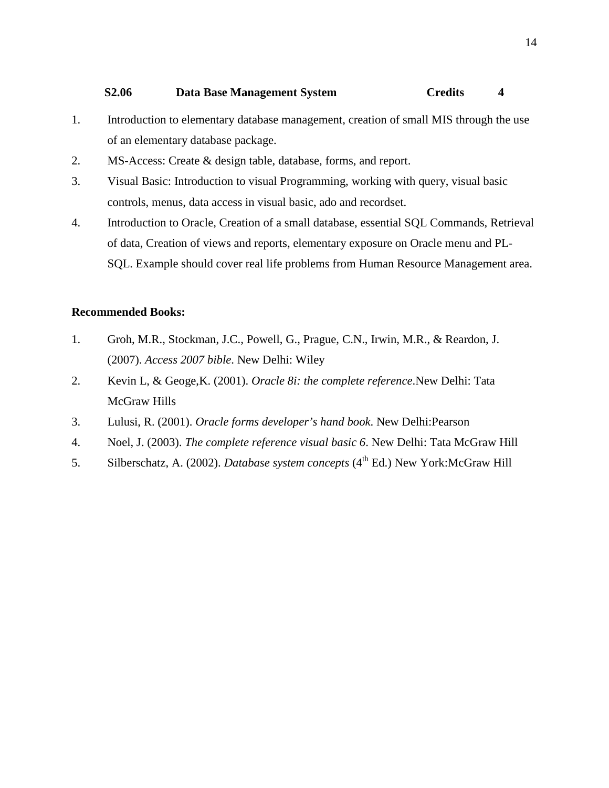## **S2.06 Data Base Management System Credits 4**

- 1. Introduction to elementary database management, creation of small MIS through the use of an elementary database package.
- 2. MS-Access: Create & design table, database, forms, and report.
- 3. Visual Basic: Introduction to visual Programming, working with query, visual basic controls, menus, data access in visual basic, ado and recordset.
- 4. Introduction to Oracle, Creation of a small database, essential SQL Commands, Retrieval of data, Creation of views and reports, elementary exposure on Oracle menu and PL-SQL. Example should cover real life problems from Human Resource Management area.

- 1. Groh, M.R., Stockman, J.C., Powell, G., Prague, C.N., Irwin, M.R., & Reardon, J. (2007). *Access 2007 bible*. New Delhi: Wiley
- 2. Kevin L, & Geoge,K. (2001). *Oracle 8i: the complete reference*.New Delhi: Tata McGraw Hills
- 3. Lulusi, R. (2001). *Oracle forms developer's hand book*. New Delhi:Pearson
- 4. Noel, J. (2003). *The complete reference visual basic 6*. New Delhi: Tata McGraw Hill
- 5. Silberschatz, A. (2002). *Database system concepts* (4<sup>th</sup> Ed.) New York: McGraw Hill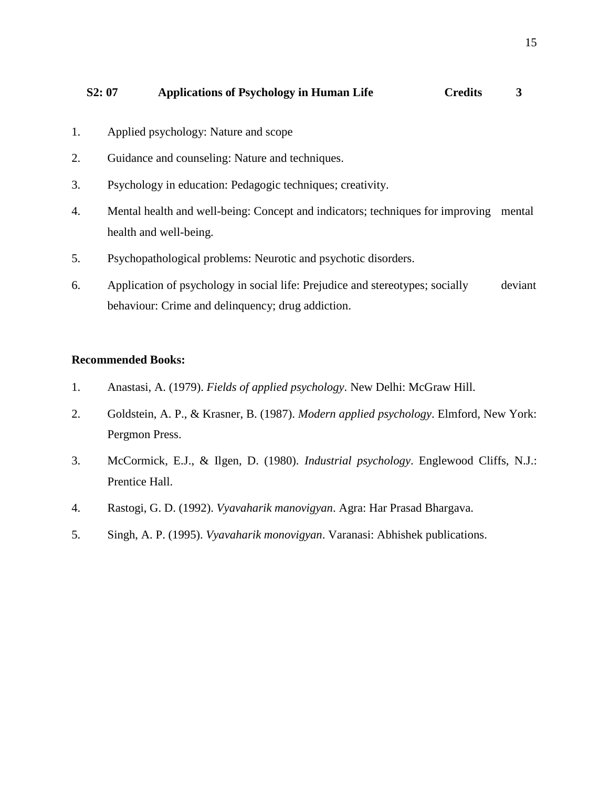- 1. Applied psychology: Nature and scope
- 2. Guidance and counseling: Nature and techniques.
- 3. Psychology in education: Pedagogic techniques; creativity.
- 4. Mental health and well-being: Concept and indicators; techniques for improving mental health and well-being.
- 5. Psychopathological problems: Neurotic and psychotic disorders.
- 6. Application of psychology in social life: Prejudice and stereotypes; socially deviant behaviour: Crime and delinquency; drug addiction.

- 1. Anastasi, A. (1979). *Fields of applied psychology*. New Delhi: McGraw Hill.
- 2. Goldstein, A. P., & Krasner, B. (1987). *Modern applied psychology*. Elmford, New York: Pergmon Press.
- 3. McCormick, E.J., & Ilgen, D. (1980). *Industrial psychology*. Englewood Cliffs, N.J.: Prentice Hall.
- 4. Rastogi, G. D. (1992). *Vyavaharik manovigyan*. Agra: Har Prasad Bhargava.
- 5. Singh, A. P. (1995). *Vyavaharik monovigyan*. Varanasi: Abhishek publications.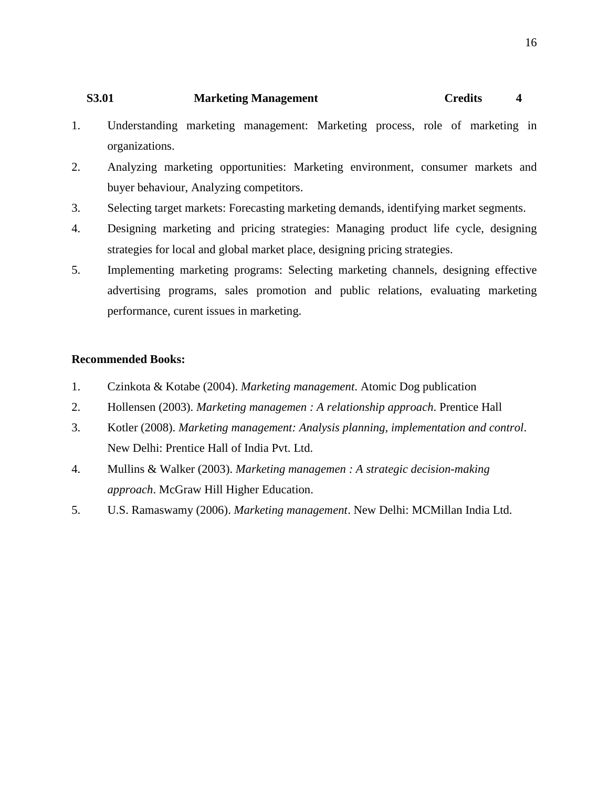# **S3.01 Marketing Management Credits 4**

- 1. Understanding marketing management: Marketing process, role of marketing in organizations.
- 2. Analyzing marketing opportunities: Marketing environment, consumer markets and buyer behaviour, Analyzing competitors.
- 3. Selecting target markets: Forecasting marketing demands, identifying market segments.
- 4. Designing marketing and pricing strategies: Managing product life cycle, designing strategies for local and global market place, designing pricing strategies.
- 5. Implementing marketing programs: Selecting marketing channels, designing effective advertising programs, sales promotion and public relations, evaluating marketing performance, curent issues in marketing.

- 1. Czinkota & Kotabe (2004). *Marketing management*. Atomic Dog publication
- 2. Hollensen (2003). *Marketing managemen : A relationship approach*. Prentice Hall
- 3. Kotler (2008). *Marketing management: Analysis planning, implementation and control*. New Delhi: Prentice Hall of India Pvt. Ltd.
- 4. Mullins & Walker (2003). *Marketing managemen : A strategic decision-making approach*. McGraw Hill Higher Education.
- 5. U.S. Ramaswamy (2006). *Marketing management*. New Delhi: MCMillan India Ltd.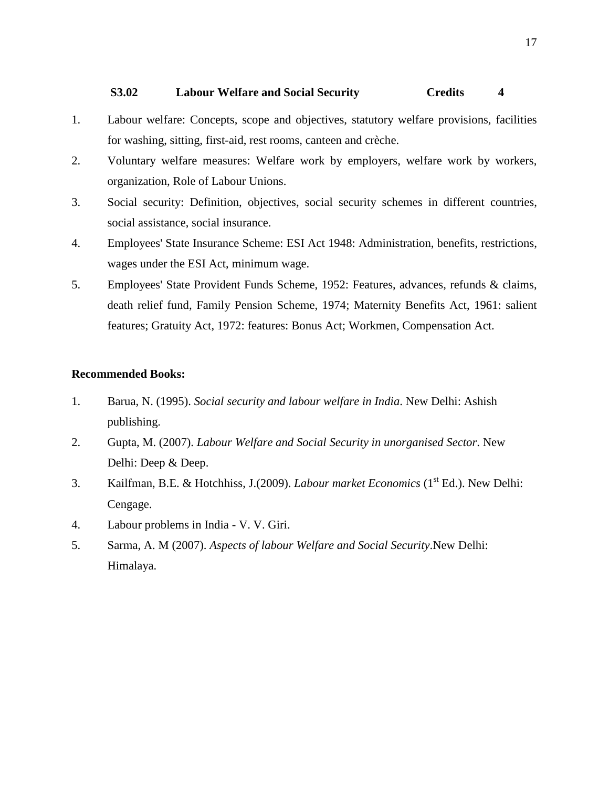## **S3.02 Labour Welfare and Social Security Credits 4**

- 1. Labour welfare: Concepts, scope and objectives, statutory welfare provisions, facilities for washing, sitting, first-aid, rest rooms, canteen and crèche.
- 2. Voluntary welfare measures: Welfare work by employers, welfare work by workers, organization, Role of Labour Unions.
- 3. Social security: Definition, objectives, social security schemes in different countries, social assistance, social insurance.
- 4. Employees' State Insurance Scheme: ESI Act 1948: Administration, benefits, restrictions, wages under the ESI Act, minimum wage.
- 5. Employees' State Provident Funds Scheme, 1952: Features, advances, refunds & claims, death relief fund, Family Pension Scheme, 1974; Maternity Benefits Act, 1961: salient features; Gratuity Act, 1972: features: Bonus Act; Workmen, Compensation Act.

- 1. Barua, N. (1995). *Social security and labour welfare in India*. New Delhi: Ashish publishing.
- 2. Gupta, M. (2007). *Labour Welfare and Social Security in unorganised Sector*. New Delhi: Deep & Deep.
- 3. Kailfman, B.E. & Hotchhiss, J.(2009). *Labour market Economics* (1st Ed.). New Delhi: Cengage.
- 4. Labour problems in India V. V. Giri.
- 5. Sarma, A. M (2007). *Aspects of labour Welfare and Social Security*.New Delhi: Himalaya.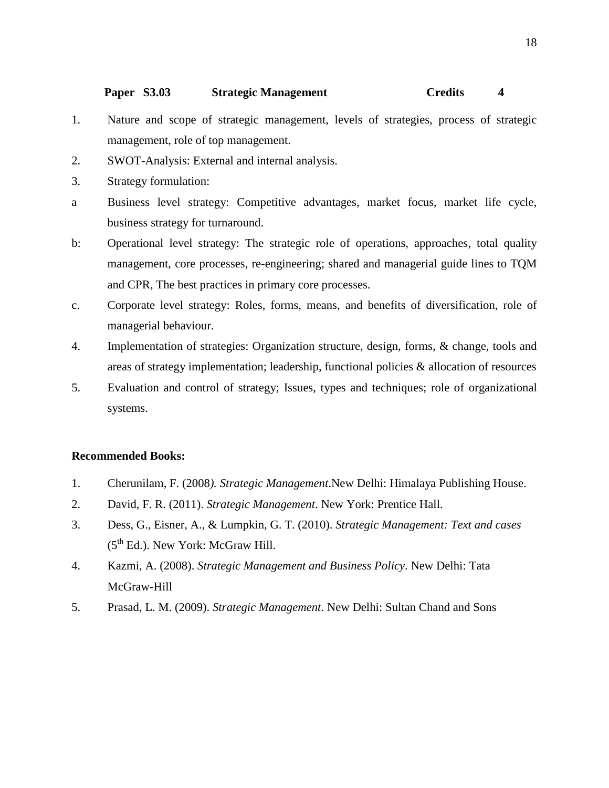#### **Paper S3.03 Strategic Management Credits 4**

- 1. Nature and scope of strategic management, levels of strategies, process of strategic management, role of top management.
- 2. SWOT-Analysis: External and internal analysis.
- 3. Strategy formulation:
- a Business level strategy: Competitive advantages, market focus, market life cycle, business strategy for turnaround.
- b: Operational level strategy: The strategic role of operations, approaches, total quality management, core processes, re-engineering; shared and managerial guide lines to TQM and CPR, The best practices in primary core processes.
- c. Corporate level strategy: Roles, forms, means, and benefits of diversification, role of managerial behaviour.
- 4. Implementation of strategies: Organization structure, design, forms, & change, tools and areas of strategy implementation; leadership, functional policies & allocation of resources
- 5. Evaluation and control of strategy; Issues, types and techniques; role of organizational systems.

- 1. Cherunilam, F. (2008*). Strategic Management*.New Delhi: Himalaya Publishing House.
- 2. David, F. R. (2011). *Strategic Management*. New York: Prentice Hall.
- 3. Dess, G., Eisner, A., & Lumpkin, G. T. (2010). *Strategic Management: Text and cases*   $(5<sup>th</sup> Ed.)$ . New York: McGraw Hill.
- 4. Kazmi, A. (2008). *Strategic Management and Business Policy*. New Delhi: Tata McGraw-Hill
- 5. Prasad, L. M. (2009). *Strategic Management*. New Delhi: Sultan Chand and Sons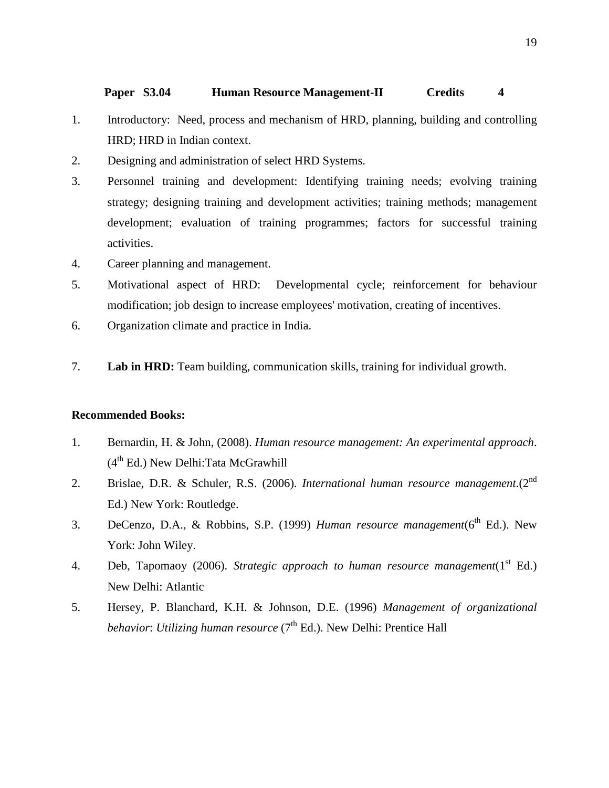#### **Paper S3.04 Human Resource Management-II Credits 4**

- 1. Introductory: Need, process and mechanism of HRD, planning, building and controlling HRD; HRD in Indian context.
- 2. Designing and administration of select HRD Systems.
- 3. Personnel training and development: Identifying training needs; evolving training strategy; designing training and development activities; training methods; management development; evaluation of training programmes; factors for successful training activities.
- 4. Career planning and management.
- 5. Motivational aspect of HRD: Developmental cycle; reinforcement for behaviour modification; job design to increase employees' motivation, creating of incentives.
- 6. Organization climate and practice in India.
- 7. **Lab in HRD:** Team building, communication skills, training for individual growth.

- 1. Bernardin, H. & John, (2008). *Human resource management: An experimental approach*.  $(4<sup>th</sup> Ed.)$  New Delhi:Tata McGrawhill
- 2. Brislae, D.R. & Schuler, R.S. (2006). *International human resource management*.(2nd Ed.) New York: Routledge.
- 3. DeCenzo, D.A., & Robbins, S.P. (1999) *Human resource management*(6<sup>th</sup> Ed.). New York: John Wiley.
- 4. Deb, Tapomaoy (2006). *Strategic approach to human resource management*(1<sup>st</sup> Ed.) New Delhi: Atlantic
- 5. Hersey, P. Blanchard, K.H. & Johnson, D.E. (1996) *Management of organizational behavior: Utilizing human resource* (7<sup>th</sup> Ed.). New Delhi: Prentice Hall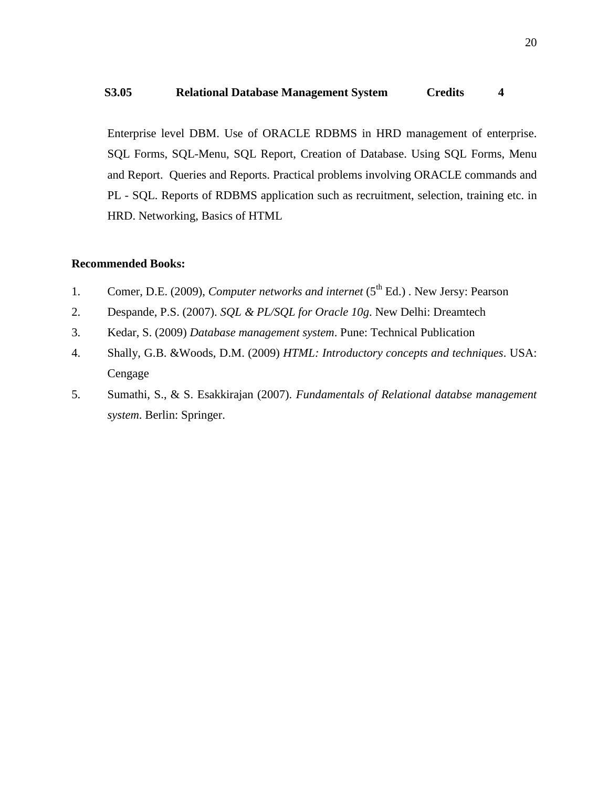#### **S3.05 Relational Database Management System Credits 4**

Enterprise level DBM. Use of ORACLE RDBMS in HRD management of enterprise. SQL Forms, SQL-Menu, SQL Report, Creation of Database. Using SQL Forms, Menu and Report. Queries and Reports. Practical problems involving ORACLE commands and PL - SQL. Reports of RDBMS application such as recruitment, selection, training etc. in HRD. Networking, Basics of HTML

- 1. Comer, D.E. (2009), *Computer networks and internet* (5<sup>th</sup> Ed.) . New Jersy: Pearson
- 2. Despande, P.S. (2007). *SQL & PL/SQL for Oracle 10g*. New Delhi: Dreamtech
- 3. Kedar, S. (2009) *Database management system*. Pune: Technical Publication
- 4. Shally, G.B. &Woods, D.M. (2009) *HTML: Introductory concepts and techniques*. USA: Cengage
- 5. Sumathi, S., & S. Esakkirajan (2007). *Fundamentals of Relational databse management system*. Berlin: Springer.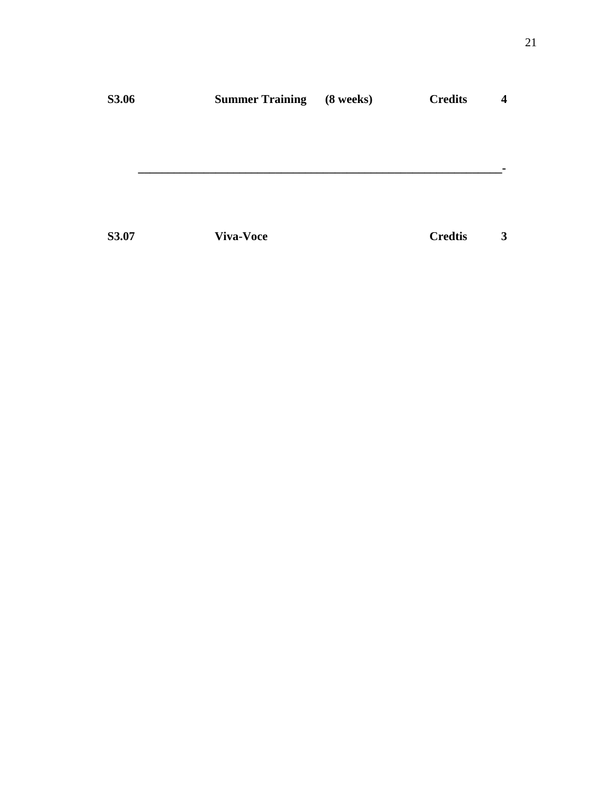| <b>S3.06</b> | <b>Summer Training</b> | (8 weeks) | <b>Credits</b> | 4 |
|--------------|------------------------|-----------|----------------|---|
|              |                        |           |                |   |
|              |                        |           |                |   |
|              |                        |           |                |   |
|              |                        |           |                |   |
| S3.07        | <b>Viva-Voce</b>       |           | <b>Credtis</b> | 3 |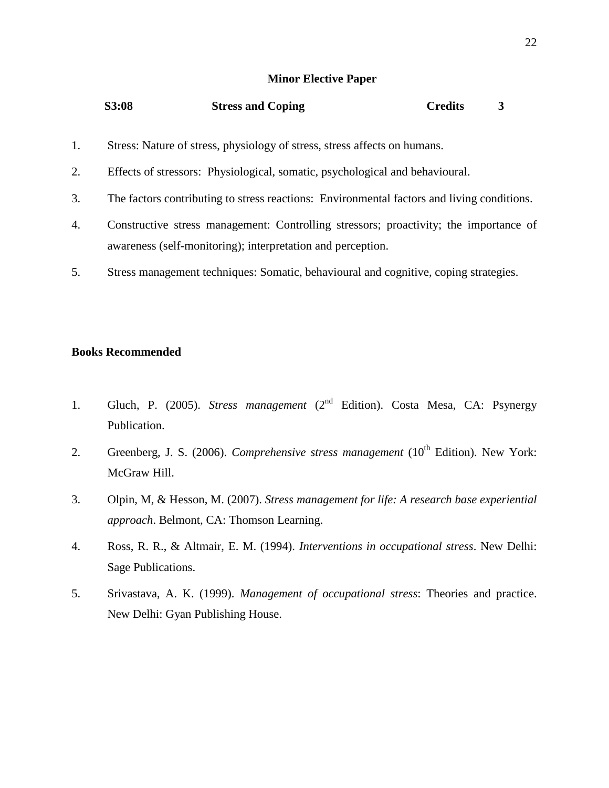#### **Minor Elective Paper**

| S3:08 | <b>Stress and Coping</b> | <b>Credits</b> |
|-------|--------------------------|----------------|
|       |                          |                |

- 1. Stress: Nature of stress, physiology of stress, stress affects on humans.
- 2. Effects of stressors: Physiological, somatic, psychological and behavioural.
- 3. The factors contributing to stress reactions: Environmental factors and living conditions.
- 4. Constructive stress management: Controlling stressors; proactivity; the importance of awareness (self-monitoring); interpretation and perception.
- 5. Stress management techniques: Somatic, behavioural and cognitive, coping strategies.

#### **Books Recommended**

- 1. Gluch, P. (2005). *Stress management* (2nd Edition). Costa Mesa, CA: Psynergy Publication.
- 2. Greenberg, J. S. (2006). *Comprehensive stress management* (10<sup>th</sup> Edition). New York: McGraw Hill.
- 3. Olpin, M, & Hesson, M. (2007). *Stress management for life: A research base experiential approach*. Belmont, CA: Thomson Learning.
- 4. Ross, R. R., & Altmair, E. M. (1994). *Interventions in occupational stress*. New Delhi: Sage Publications.
- 5. Srivastava, A. K. (1999). *Management of occupational stress*: Theories and practice. New Delhi: Gyan Publishing House.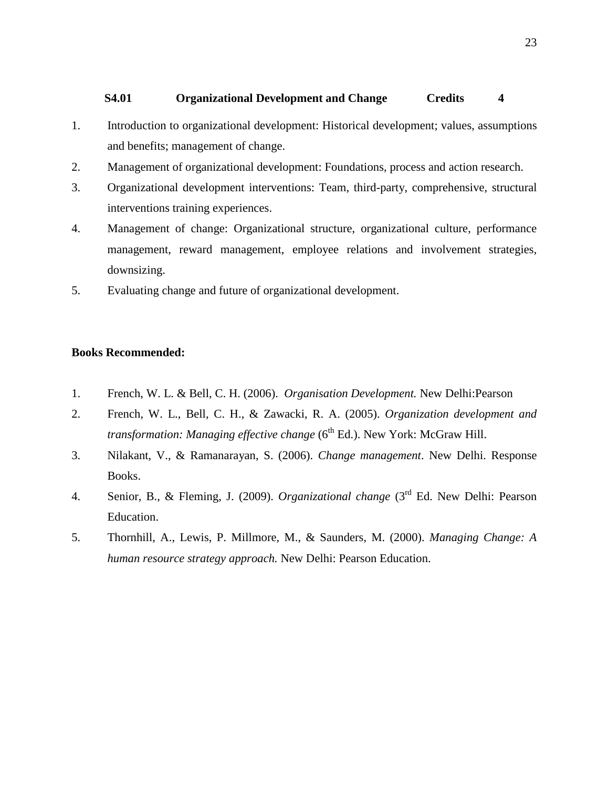## **S4.01 Organizational Development and Change Credits 4**

- 1. Introduction to organizational development: Historical development; values, assumptions and benefits; management of change.
- 2. Management of organizational development: Foundations, process and action research.
- 3. Organizational development interventions: Team, third-party, comprehensive, structural interventions training experiences.
- 4. Management of change: Organizational structure, organizational culture, performance management, reward management, employee relations and involvement strategies, downsizing.
- 5. Evaluating change and future of organizational development.

## **Books Recommended:**

- 1. French, W. L. & Bell, C. H. (2006). *Organisation Development.* New Delhi:Pearson
- 2. French, W. L., Bell, C. H., & Zawacki, R. A. (2005). *Organization development and transformation: Managing effective change* (6<sup>th</sup> Ed.). New York: McGraw Hill.
- 3. Nilakant, V., & Ramanarayan, S. (2006). *Change management*. New Delhi. Response Books.
- 4. Senior, B., & Fleming, J. (2009). *Organizational change* (3rd Ed. New Delhi: Pearson Education.
- 5. Thornhill, A., Lewis, P. Millmore, M., & Saunders, M. (2000). *Managing Change: A human resource strategy approach.* New Delhi: Pearson Education.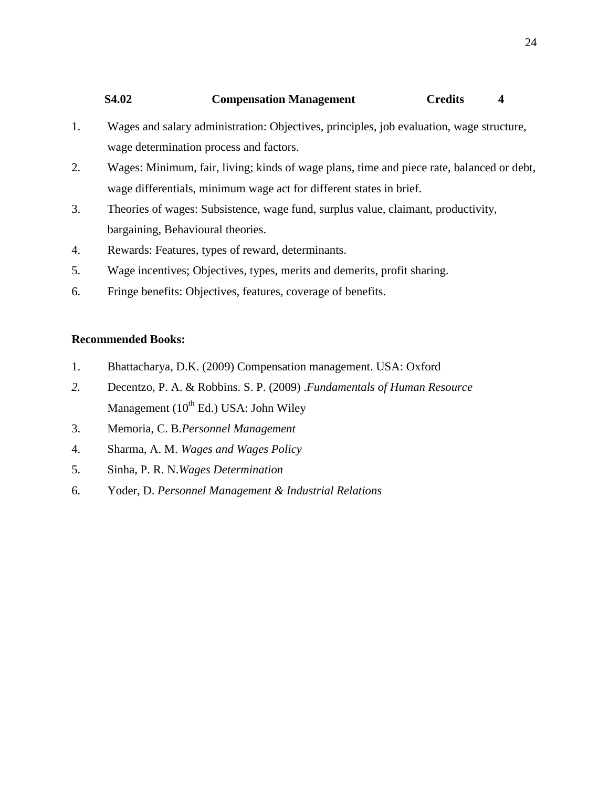# **S4.02 Compensation Management Credits 4**

- 1. Wages and salary administration: Objectives, principles, job evaluation, wage structure, wage determination process and factors.
- 2. Wages: Minimum, fair, living; kinds of wage plans, time and piece rate, balanced or debt, wage differentials, minimum wage act for different states in brief.
- 3. Theories of wages: Subsistence, wage fund, surplus value, claimant, productivity, bargaining, Behavioural theories.
- 4. Rewards: Features, types of reward, determinants.
- 5. Wage incentives; Objectives, types, merits and demerits, profit sharing.
- 6. Fringe benefits: Objectives, features, coverage of benefits.

- 1. Bhattacharya, D.K. (2009) Compensation management. USA: Oxford
- *2.* Decentzo, P. A. & Robbins. S. P. (2009) .*Fundamentals of Human Resource*  Management  $(10^{th}$  Ed.) USA: John Wiley
- 3. Memoria, C. B.*Personnel Management*
- 4. Sharma, A. M. *Wages and Wages Policy*
- 5. Sinha, P. R. N.*Wages Determination*
- 6. Yoder, D. *Personnel Management & Industrial Relations*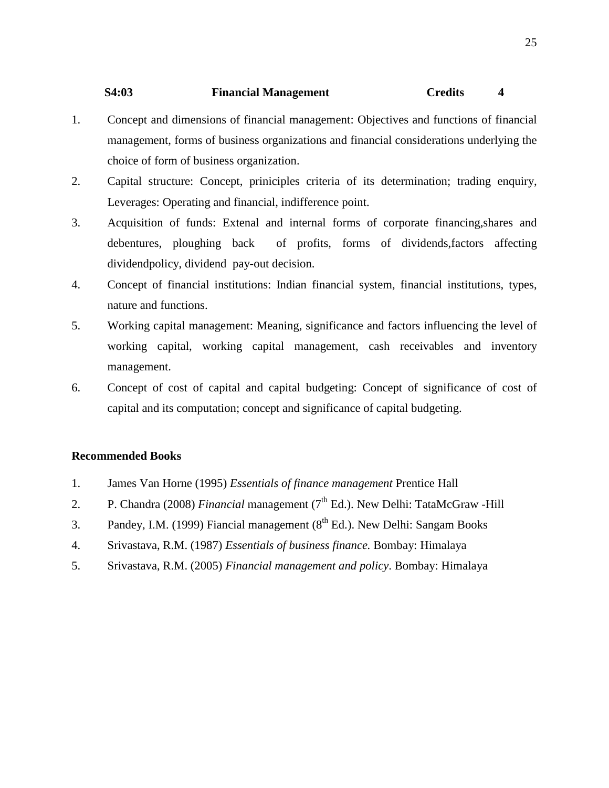# **S4:03 Financial Management Credits 4**

- 1. Concept and dimensions of financial management: Objectives and functions of financial management, forms of business organizations and financial considerations underlying the choice of form of business organization.
- 2. Capital structure: Concept, priniciples criteria of its determination; trading enquiry, Leverages: Operating and financial, indifference point.
- 3. Acquisition of funds: Extenal and internal forms of corporate financing,shares and debentures, ploughing back of profits, forms of dividends,factors affecting dividendpolicy, dividend pay-out decision.
- 4. Concept of financial institutions: Indian financial system, financial institutions, types, nature and functions.
- 5. Working capital management: Meaning, significance and factors influencing the level of working capital, working capital management, cash receivables and inventory management.
- 6. Concept of cost of capital and capital budgeting: Concept of significance of cost of capital and its computation; concept and significance of capital budgeting.

- 1. James Van Horne (1995) *Essentials of finance management* Prentice Hall
- 2. P. Chandra (2008) *Financial* management (7<sup>th</sup> Ed.). New Delhi: TataMcGraw -Hill
- 3. Pandey, I.M. (1999) Fiancial management  $(8^{th}$  Ed.). New Delhi: Sangam Books
- 4. Srivastava, R.M. (1987) *Essentials of business finance.* Bombay: Himalaya
- 5. Srivastava, R.M. (2005) *Financial management and policy*. Bombay: Himalaya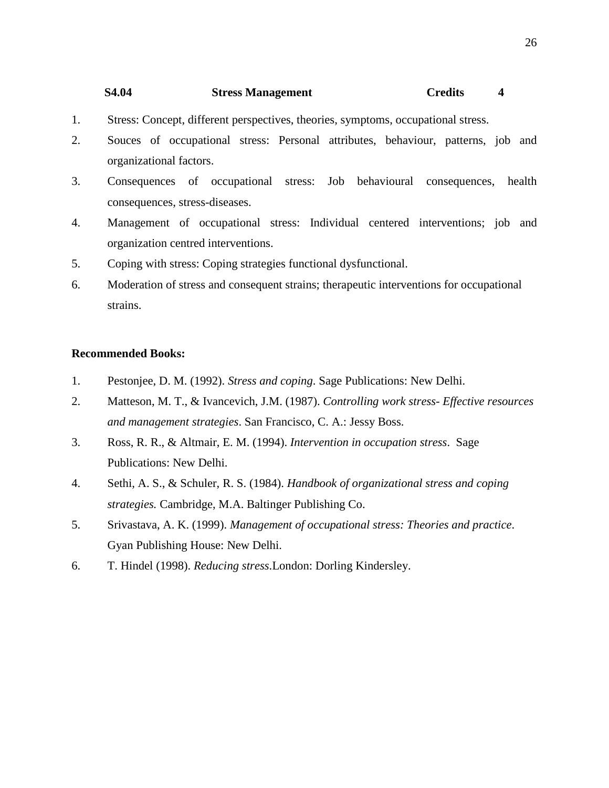#### **S4.04 Stress Management Credits 4**

- 1. Stress: Concept, different perspectives, theories, symptoms, occupational stress.
- 2. Souces of occupational stress: Personal attributes, behaviour, patterns, job and organizational factors.
- 3. Consequences of occupational stress: Job behavioural consequences, health consequences, stress-diseases.
- 4. Management of occupational stress: Individual centered interventions; job and organization centred interventions.
- 5. Coping with stress: Coping strategies functional dysfunctional.
- 6. Moderation of stress and consequent strains; therapeutic interventions for occupational strains.

- 1. Pestonjee, D. M. (1992). *Stress and coping*. Sage Publications: New Delhi.
- 2. Matteson, M. T., & Ivancevich, J.M. (1987). *Controlling work stress- Effective resources and management strategies*. San Francisco, C. A.: Jessy Boss.
- 3. Ross, R. R., & Altmair, E. M. (1994). *Intervention in occupation stress*. Sage Publications: New Delhi.
- 4. Sethi, A. S., & Schuler, R. S. (1984). *Handbook of organizational stress and coping strategies.* Cambridge, M.A. Baltinger Publishing Co.
- 5. Srivastava, A. K. (1999). *Management of occupational stress: Theories and practice*. Gyan Publishing House: New Delhi.
- 6. T. Hindel (1998). *Reducing stress*.London: Dorling Kindersley.